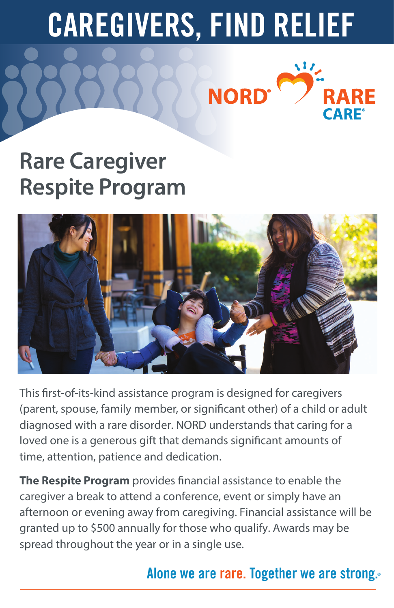# **CAREGIVERS, FIND RELIEF**

**NORD®** 

 $\mathcal{M}_{\mathcal{L}}$ 

RE





This first-of-its-kind assistance program is designed for caregivers (parent, spouse, family member, or significant other) of a child or adult diagnosed with a rare disorder. NORD understands that caring for a loved one is a generous gift that demands significant amounts of time, attention, patience and dedication.

**The Respite Program** provides financial assistance to enable the caregiver a break to attend a conference, event or simply have an afternoon or evening away from caregiving. Financial assistance will be granted up to \$500 annually for those who qualify. Awards may be spread throughout the year or in a single use.

# **Alone we are rare. Together we are strong.**